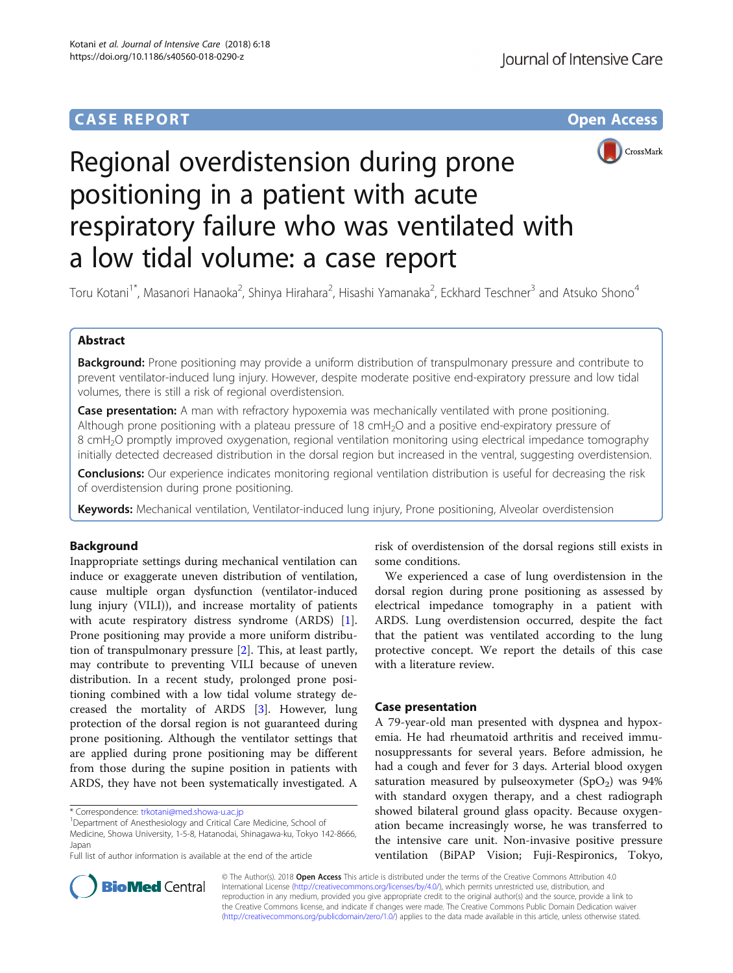# **CASE REPORT CASE REPORT CASE REPORT**



# Regional overdistension during prone positioning in a patient with acute respiratory failure who was ventilated with a low tidal volume: a case report

Toru Kotani<sup>1\*</sup>, Masanori Hanaoka<sup>2</sup>, Shinya Hirahara<sup>2</sup>, Hisashi Yamanaka<sup>2</sup>, Eckhard Teschner<sup>3</sup> and Atsuko Shono<sup>4</sup>

# Abstract

**Background:** Prone positioning may provide a uniform distribution of transpulmonary pressure and contribute to prevent ventilator-induced lung injury. However, despite moderate positive end-expiratory pressure and low tidal volumes, there is still a risk of regional overdistension.

**Case presentation:** A man with refractory hypoxemia was mechanically ventilated with prone positioning. Although prone positioning with a plateau pressure of 18 cmH<sub>2</sub>O and a positive end-expiratory pressure of 8 cmH2O promptly improved oxygenation, regional ventilation monitoring using electrical impedance tomography initially detected decreased distribution in the dorsal region but increased in the ventral, suggesting overdistension.

**Conclusions:** Our experience indicates monitoring regional ventilation distribution is useful for decreasing the risk of overdistension during prone positioning.

Keywords: Mechanical ventilation, Ventilator-induced lung injury, Prone positioning, Alveolar overdistension

# Background

Inappropriate settings during mechanical ventilation can induce or exaggerate uneven distribution of ventilation, cause multiple organ dysfunction (ventilator-induced lung injury (VILI)), and increase mortality of patients with acute respiratory distress syndrome (ARDS) [\[1](#page-4-0)]. Prone positioning may provide a more uniform distribution of transpulmonary pressure [[2\]](#page-4-0). This, at least partly, may contribute to preventing VILI because of uneven distribution. In a recent study, prolonged prone positioning combined with a low tidal volume strategy decreased the mortality of ARDS [[3\]](#page-4-0). However, lung protection of the dorsal region is not guaranteed during prone positioning. Although the ventilator settings that are applied during prone positioning may be different from those during the supine position in patients with ARDS, they have not been systematically investigated. A

Full list of author information is available at the end of the article

risk of overdistension of the dorsal regions still exists in some conditions.

We experienced a case of lung overdistension in the dorsal region during prone positioning as assessed by electrical impedance tomography in a patient with ARDS. Lung overdistension occurred, despite the fact that the patient was ventilated according to the lung protective concept. We report the details of this case with a literature review.

# Case presentation

A 79-year-old man presented with dyspnea and hypoxemia. He had rheumatoid arthritis and received immunosuppressants for several years. Before admission, he had a cough and fever for 3 days. Arterial blood oxygen saturation measured by pulseoxymeter  $(SpO<sub>2</sub>)$  was 94% with standard oxygen therapy, and a chest radiograph showed bilateral ground glass opacity. Because oxygenation became increasingly worse, he was transferred to the intensive care unit. Non-invasive positive pressure ventilation (BiPAP Vision; Fuji-Respironics, Tokyo,



© The Author(s). 2018 Open Access This article is distributed under the terms of the Creative Commons Attribution 4.0 International License [\(http://creativecommons.org/licenses/by/4.0/](http://creativecommons.org/licenses/by/4.0/)), which permits unrestricted use, distribution, and reproduction in any medium, provided you give appropriate credit to the original author(s) and the source, provide a link to the Creative Commons license, and indicate if changes were made. The Creative Commons Public Domain Dedication waiver [\(http://creativecommons.org/publicdomain/zero/1.0/](http://creativecommons.org/publicdomain/zero/1.0/)) applies to the data made available in this article, unless otherwise stated.

<sup>\*</sup> Correspondence: [trkotani@med.showa-u.ac.jp](mailto:trkotani@med.showa-u.ac.jp) <sup>1</sup>

<sup>&</sup>lt;sup>1</sup>Department of Anesthesiology and Critical Care Medicine, School of Medicine, Showa University, 1-5-8, Hatanodai, Shinagawa-ku, Tokyo 142-8666, Japan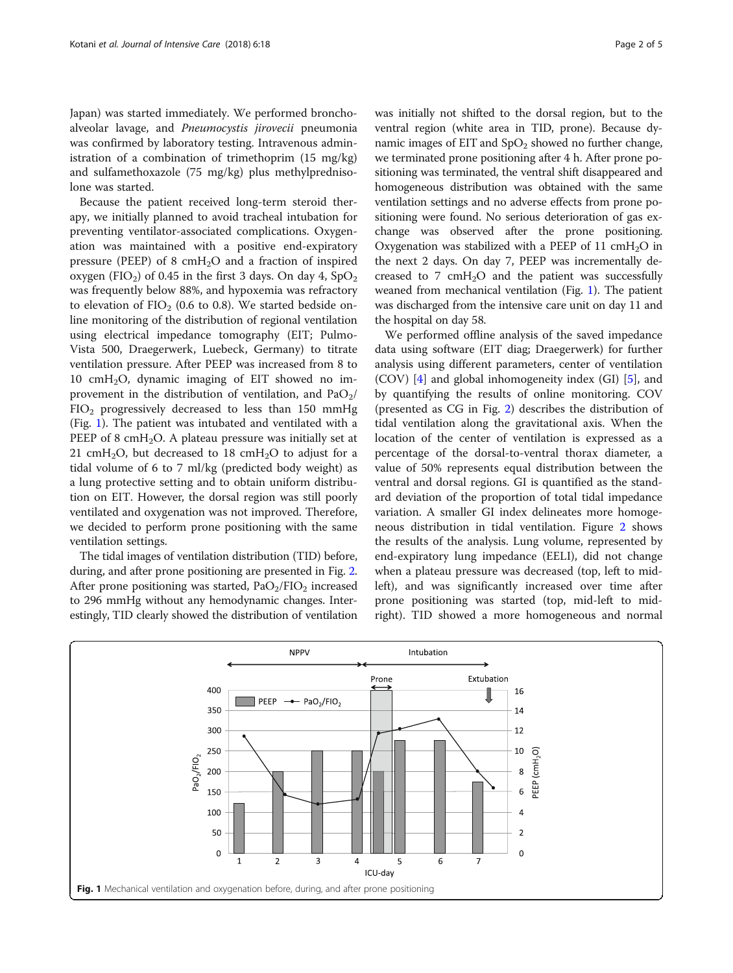Japan) was started immediately. We performed bronchoalveolar lavage, and Pneumocystis jirovecii pneumonia was confirmed by laboratory testing. Intravenous administration of a combination of trimethoprim (15 mg/kg) and sulfamethoxazole (75 mg/kg) plus methylprednisolone was started.

Because the patient received long-term steroid therapy, we initially planned to avoid tracheal intubation for preventing ventilator-associated complications. Oxygenation was maintained with a positive end-expiratory pressure (PEEP) of 8 cmH<sub>2</sub>O and a fraction of inspired oxygen (FIO<sub>2</sub>) of 0.45 in the first 3 days. On day 4, SpO<sub>2</sub> was frequently below 88%, and hypoxemia was refractory to elevation of  $FIO<sub>2</sub>$  (0.6 to 0.8). We started bedside online monitoring of the distribution of regional ventilation using electrical impedance tomography (EIT; Pulmo-Vista 500, Draegerwerk, Luebeck, Germany) to titrate ventilation pressure. After PEEP was increased from 8 to  $10 \text{ cm}$ H<sub>2</sub>O, dynamic imaging of EIT showed no improvement in the distribution of ventilation, and  $PaO<sub>2</sub>/$ FIO2 progressively decreased to less than 150 mmHg (Fig. 1). The patient was intubated and ventilated with a PEEP of 8 cmH<sub>2</sub>O. A plateau pressure was initially set at 21 cmH<sub>2</sub>O, but decreased to 18 cmH<sub>2</sub>O to adjust for a tidal volume of 6 to 7 ml/kg (predicted body weight) as a lung protective setting and to obtain uniform distribution on EIT. However, the dorsal region was still poorly ventilated and oxygenation was not improved. Therefore, we decided to perform prone positioning with the same ventilation settings.

The tidal images of ventilation distribution (TID) before, during, and after prone positioning are presented in Fig. [2](#page-2-0). After prone positioning was started,  $PaO<sub>2</sub>/FIO<sub>2</sub>$  increased to 296 mmHg without any hemodynamic changes. Interestingly, TID clearly showed the distribution of ventilation was initially not shifted to the dorsal region, but to the ventral region (white area in TID, prone). Because dynamic images of EIT and  $SpO<sub>2</sub>$  showed no further change, we terminated prone positioning after 4 h. After prone positioning was terminated, the ventral shift disappeared and homogeneous distribution was obtained with the same ventilation settings and no adverse effects from prone positioning were found. No serious deterioration of gas exchange was observed after the prone positioning. Oxygenation was stabilized with a PEEP of  $11 \text{ cm}$ H<sub>2</sub>O in the next 2 days. On day 7, PEEP was incrementally decreased to 7  $cmH<sub>2</sub>O$  and the patient was successfully weaned from mechanical ventilation (Fig. 1). The patient was discharged from the intensive care unit on day 11 and the hospital on day 58.

We performed offline analysis of the saved impedance data using software (EIT diag; Draegerwerk) for further analysis using different parameters, center of ventilation  $(COV)$  [[4\]](#page-4-0) and global inhomogeneity index  $(GI)$  [[5\]](#page-4-0), and by quantifying the results of online monitoring. COV (presented as CG in Fig. [2](#page-2-0)) describes the distribution of tidal ventilation along the gravitational axis. When the location of the center of ventilation is expressed as a percentage of the dorsal-to-ventral thorax diameter, a value of 50% represents equal distribution between the ventral and dorsal regions. GI is quantified as the standard deviation of the proportion of total tidal impedance variation. A smaller GI index delineates more homogeneous distribution in tidal ventilation. Figure [2](#page-2-0) shows the results of the analysis. Lung volume, represented by end-expiratory lung impedance (EELI), did not change when a plateau pressure was decreased (top, left to midleft), and was significantly increased over time after prone positioning was started (top, mid-left to midright). TID showed a more homogeneous and normal

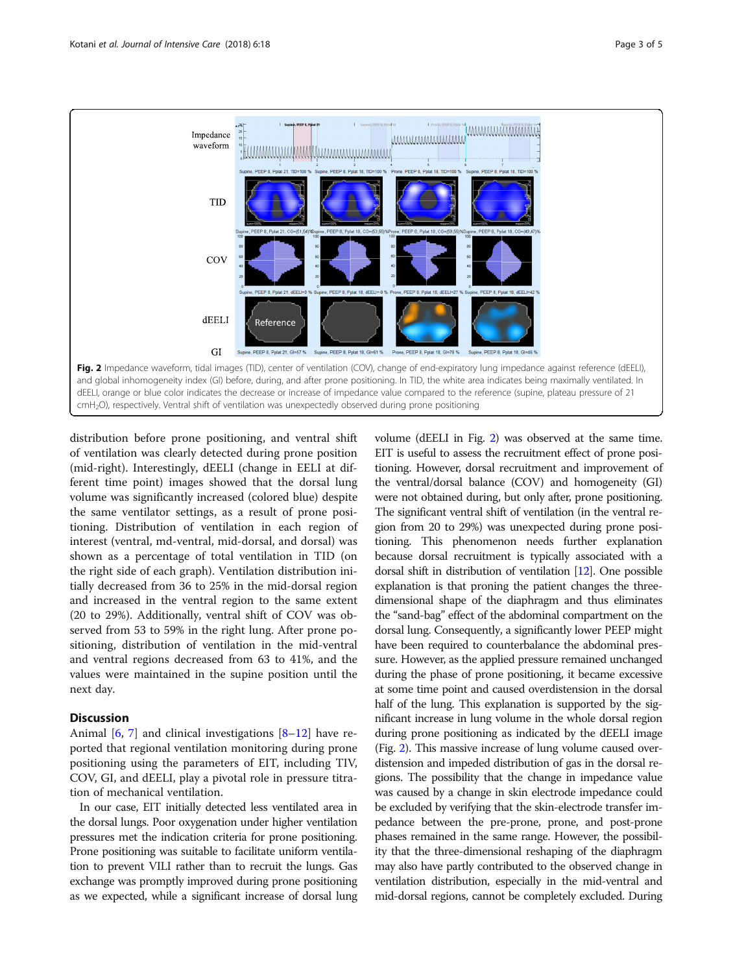<span id="page-2-0"></span>

distribution before prone positioning, and ventral shift of ventilation was clearly detected during prone position (mid-right). Interestingly, dEELI (change in EELI at different time point) images showed that the dorsal lung volume was significantly increased (colored blue) despite the same ventilator settings, as a result of prone positioning. Distribution of ventilation in each region of interest (ventral, md-ventral, mid-dorsal, and dorsal) was shown as a percentage of total ventilation in TID (on the right side of each graph). Ventilation distribution initially decreased from 36 to 25% in the mid-dorsal region and increased in the ventral region to the same extent (20 to 29%). Additionally, ventral shift of COV was observed from 53 to 59% in the right lung. After prone positioning, distribution of ventilation in the mid-ventral and ventral regions decreased from 63 to 41%, and the values were maintained in the supine position until the next day.

# Discussion

Animal  $[6, 7]$  $[6, 7]$  $[6, 7]$  $[6, 7]$  $[6, 7]$  and clinical investigations  $[8-12]$  $[8-12]$  $[8-12]$  have reported that regional ventilation monitoring during prone positioning using the parameters of EIT, including TIV, COV, GI, and dEELI, play a pivotal role in pressure titration of mechanical ventilation.

In our case, EIT initially detected less ventilated area in the dorsal lungs. Poor oxygenation under higher ventilation pressures met the indication criteria for prone positioning. Prone positioning was suitable to facilitate uniform ventilation to prevent VILI rather than to recruit the lungs. Gas exchange was promptly improved during prone positioning as we expected, while a significant increase of dorsal lung

volume (dEELI in Fig. 2) was observed at the same time. EIT is useful to assess the recruitment effect of prone positioning. However, dorsal recruitment and improvement of the ventral/dorsal balance (COV) and homogeneity (GI) were not obtained during, but only after, prone positioning. The significant ventral shift of ventilation (in the ventral region from 20 to 29%) was unexpected during prone positioning. This phenomenon needs further explanation because dorsal recruitment is typically associated with a dorsal shift in distribution of ventilation [[12\]](#page-4-0). One possible explanation is that proning the patient changes the threedimensional shape of the diaphragm and thus eliminates the "sand-bag" effect of the abdominal compartment on the dorsal lung. Consequently, a significantly lower PEEP might have been required to counterbalance the abdominal pressure. However, as the applied pressure remained unchanged during the phase of prone positioning, it became excessive at some time point and caused overdistension in the dorsal half of the lung. This explanation is supported by the significant increase in lung volume in the whole dorsal region during prone positioning as indicated by the dEELI image (Fig. 2). This massive increase of lung volume caused overdistension and impeded distribution of gas in the dorsal regions. The possibility that the change in impedance value was caused by a change in skin electrode impedance could be excluded by verifying that the skin-electrode transfer impedance between the pre-prone, prone, and post-prone phases remained in the same range. However, the possibility that the three-dimensional reshaping of the diaphragm may also have partly contributed to the observed change in ventilation distribution, especially in the mid-ventral and mid-dorsal regions, cannot be completely excluded. During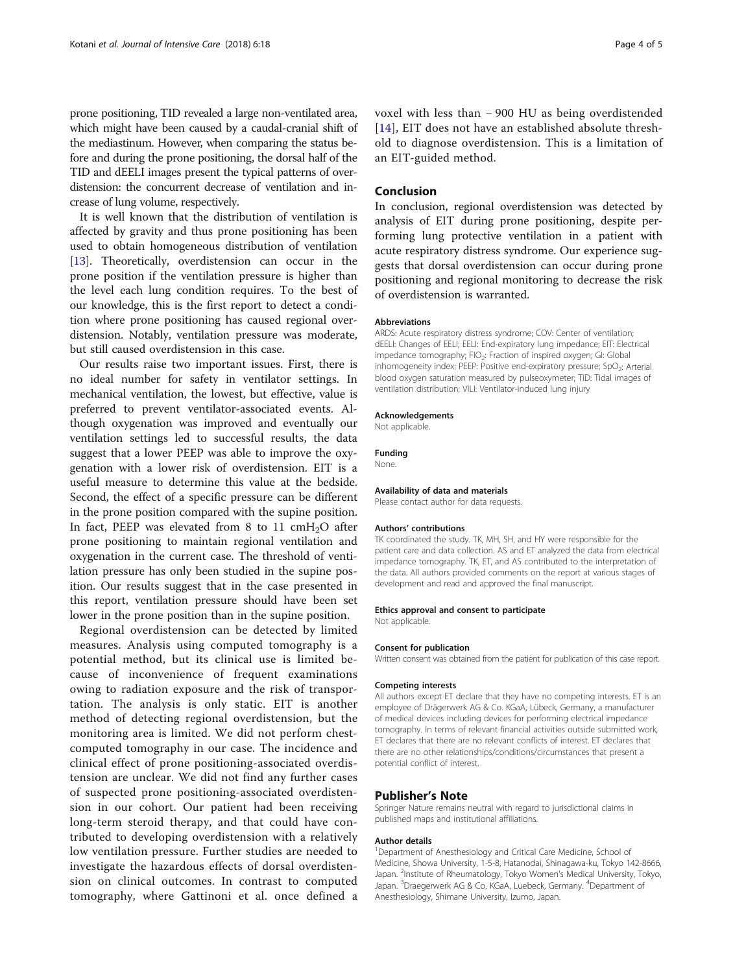prone positioning, TID revealed a large non-ventilated area, which might have been caused by a caudal-cranial shift of the mediastinum. However, when comparing the status before and during the prone positioning, the dorsal half of the TID and dEELI images present the typical patterns of overdistension: the concurrent decrease of ventilation and increase of lung volume, respectively.

It is well known that the distribution of ventilation is affected by gravity and thus prone positioning has been used to obtain homogeneous distribution of ventilation [[13\]](#page-4-0). Theoretically, overdistension can occur in the prone position if the ventilation pressure is higher than the level each lung condition requires. To the best of our knowledge, this is the first report to detect a condition where prone positioning has caused regional overdistension. Notably, ventilation pressure was moderate, but still caused overdistension in this case.

Our results raise two important issues. First, there is no ideal number for safety in ventilator settings. In mechanical ventilation, the lowest, but effective, value is preferred to prevent ventilator-associated events. Although oxygenation was improved and eventually our ventilation settings led to successful results, the data suggest that a lower PEEP was able to improve the oxygenation with a lower risk of overdistension. EIT is a useful measure to determine this value at the bedside. Second, the effect of a specific pressure can be different in the prone position compared with the supine position. In fact, PEEP was elevated from 8 to 11  $cmH<sub>2</sub>O$  after prone positioning to maintain regional ventilation and oxygenation in the current case. The threshold of ventilation pressure has only been studied in the supine position. Our results suggest that in the case presented in this report, ventilation pressure should have been set lower in the prone position than in the supine position.

Regional overdistension can be detected by limited measures. Analysis using computed tomography is a potential method, but its clinical use is limited because of inconvenience of frequent examinations owing to radiation exposure and the risk of transportation. The analysis is only static. EIT is another method of detecting regional overdistension, but the monitoring area is limited. We did not perform chestcomputed tomography in our case. The incidence and clinical effect of prone positioning-associated overdistension are unclear. We did not find any further cases of suspected prone positioning-associated overdistension in our cohort. Our patient had been receiving long-term steroid therapy, and that could have contributed to developing overdistension with a relatively low ventilation pressure. Further studies are needed to investigate the hazardous effects of dorsal overdistension on clinical outcomes. In contrast to computed tomography, where Gattinoni et al. once defined a

voxel with less than − 900 HU as being overdistended [[14](#page-4-0)], EIT does not have an established absolute threshold to diagnose overdistension. This is a limitation of an EIT-guided method.

# Conclusion

In conclusion, regional overdistension was detected by analysis of EIT during prone positioning, despite performing lung protective ventilation in a patient with acute respiratory distress syndrome. Our experience suggests that dorsal overdistension can occur during prone positioning and regional monitoring to decrease the risk of overdistension is warranted.

## Abbreviations

ARDS: Acute respiratory distress syndrome; COV: Center of ventilation; dEELI: Changes of EELI; EELI: End-expiratory lung impedance; EIT: Electrical impedance tomography; FIO<sub>2</sub>: Fraction of inspired oxygen; GI: Global inhomogeneity index; PEEP: Positive end-expiratory pressure; SpO<sub>2</sub>: Arterial blood oxygen saturation measured by pulseoxymeter; TID: Tidal images of ventilation distribution; VILI: Ventilator-induced lung injury

## Acknowledgements

Not applicable.

## Funding

None.

#### Availability of data and materials

Please contact author for data requests.

#### Authors' contributions

TK coordinated the study. TK, MH, SH, and HY were responsible for the patient care and data collection. AS and ET analyzed the data from electrical impedance tomography. TK, ET, and AS contributed to the interpretation of the data. All authors provided comments on the report at various stages of development and read and approved the final manuscript.

### Ethics approval and consent to participate Not applicable.

# Consent for publication

Written consent was obtained from the patient for publication of this case report.

#### Competing interests

All authors except ET declare that they have no competing interests. ET is an employee of Drägerwerk AG & Co. KGaA, Lübeck, Germany, a manufacturer of medical devices including devices for performing electrical impedance tomography. In terms of relevant financial activities outside submitted work, ET declares that there are no relevant conflicts of interest. ET declares that there are no other relationships/conditions/circumstances that present a potential conflict of interest.

## Publisher's Note

Springer Nature remains neutral with regard to jurisdictional claims in published maps and institutional affiliations.

#### Author details

<sup>1</sup>Department of Anesthesiology and Critical Care Medicine, School of Medicine, Showa University, 1-5-8, Hatanodai, Shinagawa-ku, Tokyo 142-8666, Japan. <sup>2</sup>Institute of Rheumatology, Tokyo Women's Medical University, Tokyo Japan. <sup>3</sup>Draegerwerk AG & Co. KGaA, Luebeck, Germany. <sup>4</sup>Department of Anesthesiology, Shimane University, Izumo, Japan.